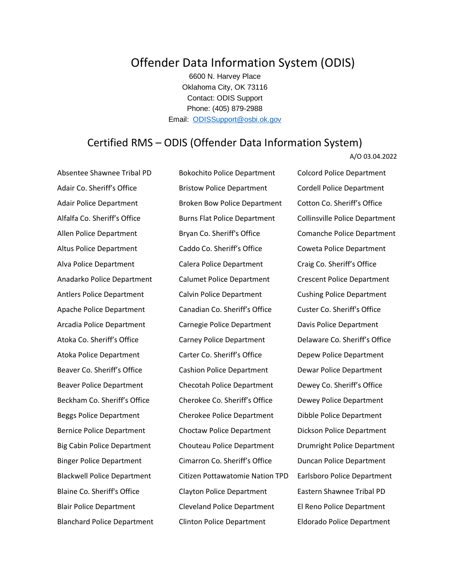## Offender Data Information System (ODIS)

6600 N. Harvey Place Oklahoma City, OK 73116 Contact: ODIS Support Phone: (405) 879-2988 Email: [ODISSupport@osbi.ok.gov](mailto:ODISSupport@osbi.ok.gov)

## Certified RMS – ODIS (Offender Data Information System)

A/O 03.04.2022

Absentee Shawnee Tribal PD Bokochito Police Department Colcord Police Department

Adair Co. Sheriff's Office **Bristow Police Department** Cordell Police Department Adair Police Department Broken Bow Police Department Cotton Co. Sheriff's Office Alfalfa Co. Sheriff's Office Burns Flat Police Department Collinsville Police Department Allen Police Department **Bryan Co. Sheriff's Office** Comanche Police Department Altus Police Department Caddo Co. Sheriff's Office Coweta Police Department Alva Police Department Calera Police Department Craig Co. Sheriff's Office Anadarko Police Department Calumet Police Department Crescent Police Department Antlers Police Department Calvin Police Department Cushing Police Department Apache Police Department Canadian Co. Sheriff's Office Custer Co. Sheriff's Office Arcadia Police Department Carnegie Police Department Davis Police Department Atoka Co. Sheriff's Office **Carney Police Department** Delaware Co. Sheriff's Office Atoka Police Department Carter Co. Sheriff's Office Depew Police Department Beaver Co. Sheriff's Office Cashion Police Department Dewar Police Department Beaver Police Department Checotah Police Department Dewey Co. Sheriff's Office Beckham Co. Sheriff's Office Cherokee Co. Sheriff's Office Dewey Police Department Beggs Police Department Cherokee Police Department Dibble Police Department Bernice Police Department Choctaw Police Department Dickson Police Department Big Cabin Police Department Chouteau Police Department Drumright Police Department Binger Police Department Cimarron Co. Sheriff's Office Duncan Police Department Blackwell Police Department Citizen Pottawatomie Nation TPD Earlsboro Police Department Blaine Co. Sheriff's Office Clayton Police Department Eastern Shawnee Tribal PD Blair Police Department Cleveland Police Department El Reno Police Department Blanchard Police Department Clinton Police Department Eldorado Police Department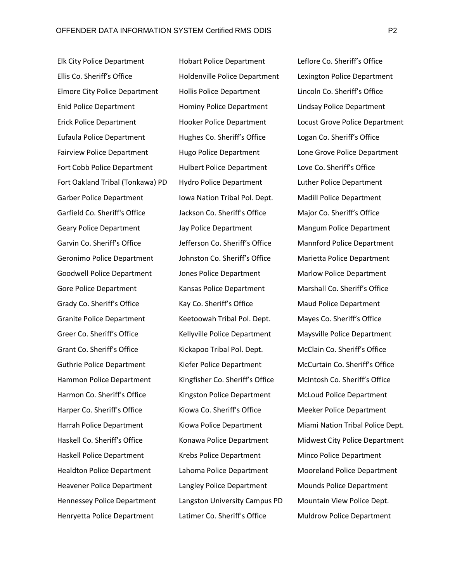Elk City Police Department Hobart Police Department Leflore Co. Sheriff's Office Ellis Co. Sheriff's Office Holdenville Police Department Lexington Police Department Elmore City Police Department Hollis Police Department Lincoln Co. Sheriff's Office Enid Police Department Hominy Police Department Lindsay Police Department Eufaula Police Department Hughes Co. Sheriff's Office Logan Co. Sheriff's Office Fairview Police Department Hugo Police Department Lone Grove Police Department Fort Cobb Police Department Hulbert Police Department Love Co. Sheriff's Office Fort Oakland Tribal (Tonkawa) PD Hydro Police Department Luther Police Department Garber Police Department Iowa Nation Tribal Pol. Dept. Nadill Police Department Garfield Co. Sheriff's Office Jackson Co. Sheriff's Office Major Co. Sheriff's Office Geary Police Department Jay Police Department Mangum Police Department Garvin Co. Sheriff's Office Jefferson Co. Sheriff's Office Mannford Police Department Geronimo Police Department Johnston Co. Sheriff's Office Marietta Police Department Goodwell Police Department Jones Police Department Marlow Police Department Gore Police Department **Kansas Police Department** Marshall Co. Sheriff's Office Grady Co. Sheriff's Office The Kay Co. Sheriff's Office The Maud Police Department Granite Police Department Keetoowah Tribal Pol. Dept. Mayes Co. Sheriff's Office Greer Co. Sheriff's Office **Kellyville Police Department** Maysville Police Department Grant Co. Sheriff's Office **Kickapoo Tribal Pol. Dept.** McClain Co. Sheriff's Office Guthrie Police Department Kiefer Police Department McCurtain Co. Sheriff's Office Hammon Police Department Kingfisher Co. Sheriff's Office McIntosh Co. Sheriff's Office Harmon Co. Sheriff's Office Kingston Police Department McLoud Police Department Harper Co. Sheriff's Office **Kiowa Co. Sheriff's Office** Meeker Police Department Haskell Police Department Krebs Police Department Minco Police Department Healdton Police Department Lahoma Police Department Mooreland Police Department Heavener Police Department Langley Police Department Mounds Police Department Hennessey Police Department Langston University Campus PD Mountain View Police Dept. Henryetta Police Department Latimer Co. Sheriff's Office Muldrow Police Department

Erick Police Department Hooker Police Department Locust Grove Police Department Harrah Police Department Kiowa Police Department Miami Nation Tribal Police Dept. Haskell Co. Sheriff's Office **Konawa Police Department** Midwest City Police Department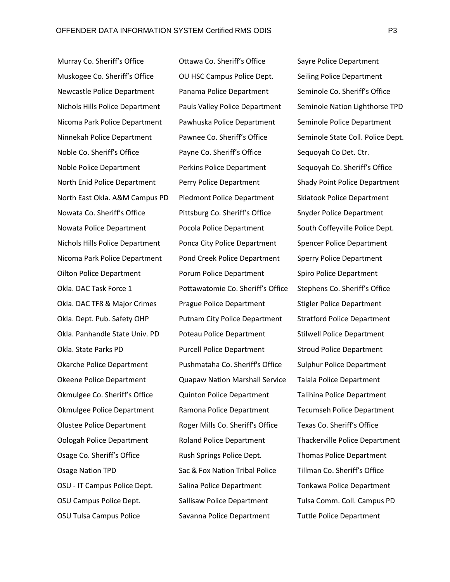Murray Co. Sheriff's Office **Ottawa Co. Sheriff's Office** Sayre Police Department Muskogee Co. Sheriff's Office **OU HSC Campus Police Dept.** Seiling Police Department Newcastle Police Department Panama Police Department Seminole Co. Sheriff's Office Nichols Hills Police Department Pauls Valley Police Department Seminole Nation Lighthorse TPD Nicoma Park Police Department Pawhuska Police Department Seminole Police Department Ninnekah Police Department Pawnee Co. Sheriff's Office Seminole State Coll. Police Dept. Noble Co. Sheriff's Office **Payne Co. Sheriff's Office** Sequoyah Co Det. Ctr. Noble Police Department Perkins Police Department Sequoyah Co. Sheriff's Office North Enid Police Department Perry Police Department Shady Point Police Department North East Okla. A&M Campus PD Piedmont Police Department Skiatook Police Department Nowata Co. Sheriff's Office Pittsburg Co. Sheriff's Office Snyder Police Department Nowata Police Department Pocola Police Department South Coffeyville Police Dept. Nichols Hills Police Department Ponca City Police Department Spencer Police Department Nicoma Park Police Department Pond Creek Police Department Sperry Police Department Oilton Police Department Porum Police Department Spiro Police Department Okla. DAC Task Force 1 Pottawatomie Co. Sheriff's Office Stephens Co. Sheriff's Office Okla. DAC TF8 & Major Crimes Prague Police Department Stigler Police Department Okla. Dept. Pub. Safety OHP Putnam City Police Department Stratford Police Department Okla. Panhandle State Univ. PD Poteau Police Department Stilwell Police Department Okla. State Parks PD Purcell Police Department Stroud Police Department Okarche Police Department Pushmataha Co. Sheriff's Office Sulphur Police Department Okeene Police Department Quapaw Nation Marshall Service Talala Police Department Okmulgee Co. Sheriff's Office Quinton Police Department Talihina Police Department Okmulgee Police Department Ramona Police Department Tecumseh Police Department Olustee Police Department Roger Mills Co. Sheriff's Office Texas Co. Sheriff's Office Oologah Police Department Roland Police Department Thackerville Police Department Osage Co. Sheriff's Office Rush Springs Police Dept. Thomas Police Department Osage Nation TPD Sac & Fox Nation Tribal Police Tillman Co. Sheriff's Office OSU - IT Campus Police Dept. Salina Police Department Tonkawa Police Department OSU Campus Police Dept. Sallisaw Police Department Tulsa Comm. Coll. Campus PD

OSU Tulsa Campus Police Savanna Police Department Tuttle Police Department